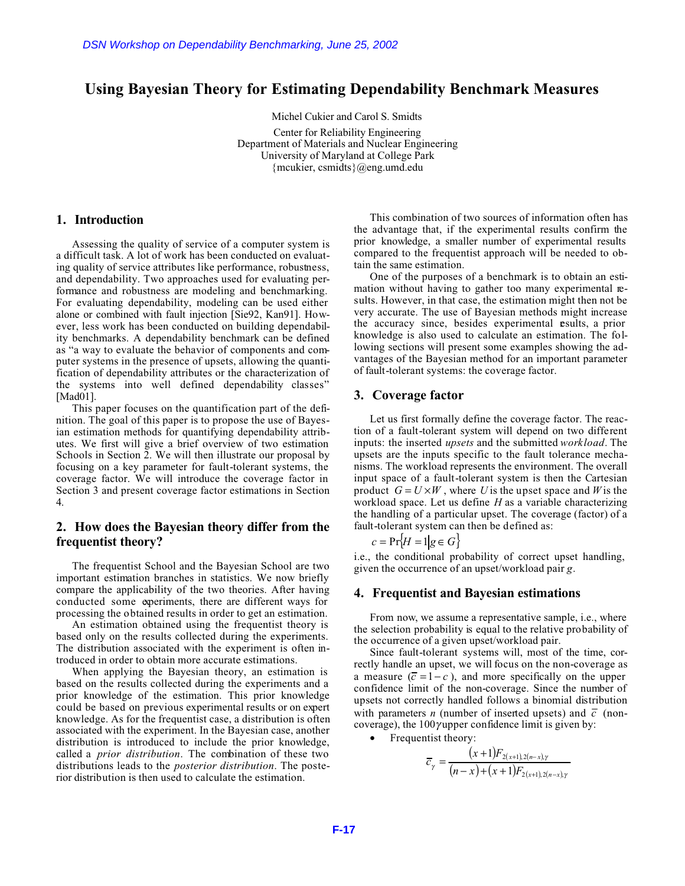# **Using Bayesian Theory for Estimating Dependability Benchmark Measures**

Michel Cukier and Carol S. Smidts Center for Reliability Engineering Department of Materials and Nuclear Engineering University of Maryland at College Park {mcukier, csmidts}@eng.umd.edu

# **1. Introduction**

Assessing the quality of service of a computer system is a difficult task. A lot of work has been conducted on evaluating quality of service attributes like performance, robustness, and dependability. Two approaches used for evaluating performance and robustness are modeling and benchmarking. For evaluating dependability, modeling can be used either alone or combined with fault injection [Sie92, Kan91]. However, less work has been conducted on building dependability benchmarks. A dependability benchmark can be defined as "a way to evaluate the behavior of components and computer systems in the presence of upsets, allowing the quantification of dependability attributes or the characterization of the systems into well defined dependability classes" [Mad01]. DSN Workshop on Dependability Benchmarking, June 25, 2002<br>
Using Bayesian Theory for Estimating Depend<br>
Using Bayesian Theory for Estimating Depend<br>
Mickel Cukier and Carol 5.<br>
Center for Reliability Engine<br>
Interaction o

This paper focuses on the quantification part of the definition. The goal of this paper is to propose the use of Bayesian estimation methods for quantifying dependability attributes. We first will give a brief overview of two estimation Schools in Section 2. We will then illustrate our proposal by focusing on a key parameter for fault-tolerant systems, the coverage factor. We will introduce the coverage factor in Section 3 and present coverage factor estimations in Section 4.

# **2. How does the Bayesian theory differ from the frequentist theory?**

The frequentist School and the Bayesian School are two important estimation branches in statistics. We now briefly compare the applicability of the two theories. After having conducted some experiments, there are different ways for processing the obtained results in order to get an estimation.

An estimation obtained using the frequentist theory is based only on the results collected during the experiments. The distribution associated with the experiment is often introduced in order to obtain more accurate estimations.

When applying the Bayesian theory, an estimation is based on the results collected during the experiments and a prior knowledge of the estimation. This prior knowledge could be based on previous experimental results or on expert knowledge. As for the frequentist case, a distribution is often associated with the experiment. In the Bayesian case, another distribution is introduced to include the prior knowledge, called a *prior distribution*. The combination of these two distributions leads to the *posterior distribution*. The posterior distribution is then used to calculate the estimation.

This combination of two sources of information often has the advantage that, if the experimental results confirm the prior knowledge, a smaller number of experimental results compared to the frequentist approach will be needed to obtain the same estimation.

One of the purposes of a benchmark is to obtain an estimation without having to gather too many experimental results. However, in that case, the estimation might then not be very accurate. The use of Bayesian methods might increase the accuracy since, besides experimental esults, a prior knowledge is also used to calculate an estimation. The following sections will present some examples showing the advantages of the Bayesian method for an important parameter of fault-tolerant systems: the coverage factor.

## **3. Coverage factor**

Let us first formally define the coverage factor. The reaction of a fault-tolerant system will depend on two different inputs: the inserted *upsets* and the submitted *workload*. The upsets are the inputs specific to the fault tolerance mechanisms. The workload represents the environment. The overall input space of a fault-tolerant system is then the Cartesian product  $G = U \times W$ , where *U* is the upset space and *W* is the workload space. Let us define *H* as a variable characterizing the handling of a particular upset. The coverage (factor) of a fault-tolerant system can then be defined as:

$$
c = \Pr{H = 1|g \in G}
$$

i.e., the conditional probability of correct upset handling, given the occurrence of an upset/workload pair *g*.

#### **4. Frequentist and Bayesian estimations**

From now, we assume a representative sample, i.e., where the selection probability is equal to the relative probability of the occurrence of a given upset/workload pair.

Since fault-tolerant systems will, most of the time, correctly handle an upset, we will focus on the non-coverage as a measure  $(\overline{c} = 1 - c)$ , and more specifically on the upper confidence limit of the non-coverage. Since the number of upsets not correctly handled follows a binomial distribution with parameters *n* (number of inserted upsets) and  $\overline{c}$  (noncoverage), the  $100\gamma$ upper confidence limit is given by:

• Frequentist theory:

$$
\overline{c}_{\gamma} = \frac{(x+1)F_{2(x+1),2(n-x),\gamma}}{(n-x)+(x+1)F_{2(x+1),2(n-x),\gamma}}
$$